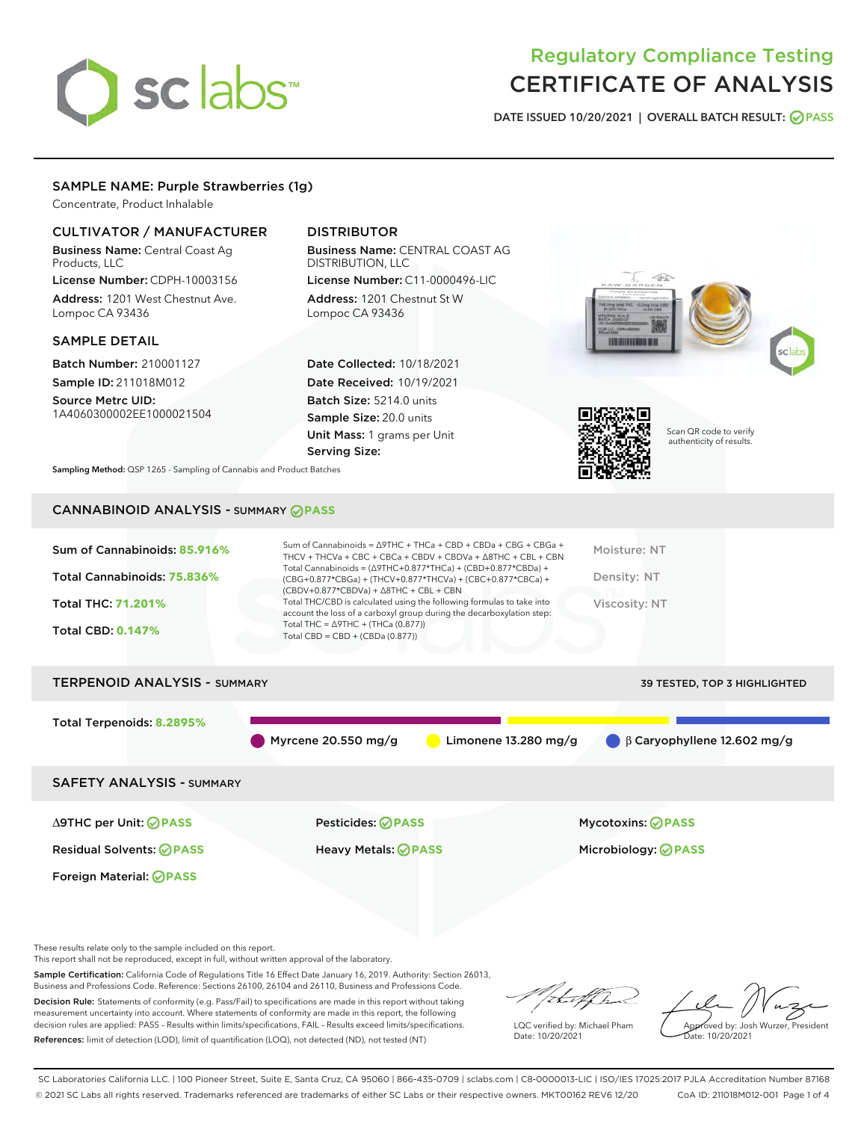# sclabs<sup>\*</sup>

## Regulatory Compliance Testing CERTIFICATE OF ANALYSIS

DATE ISSUED 10/20/2021 | OVERALL BATCH RESULT: @ PASS

#### SAMPLE NAME: Purple Strawberries (1g)

Concentrate, Product Inhalable

#### CULTIVATOR / MANUFACTURER

Business Name: Central Coast Ag Products, LLC

License Number: CDPH-10003156 Address: 1201 West Chestnut Ave. Lompoc CA 93436

#### SAMPLE DETAIL

Batch Number: 210001127 Sample ID: 211018M012

Source Metrc UID: 1A4060300002EE1000021504

#### DISTRIBUTOR

Business Name: CENTRAL COAST AG DISTRIBUTION, LLC License Number: C11-0000496-LIC

Address: 1201 Chestnut St W Lompoc CA 93436

Date Collected: 10/18/2021 Date Received: 10/19/2021 Batch Size: 5214.0 units Sample Size: 20.0 units Unit Mass: 1 grams per Unit Serving Size:





Scan QR code to verify authenticity of results.

Sampling Method: QSP 1265 - Sampling of Cannabis and Product Batches

### CANNABINOID ANALYSIS - SUMMARY **PASS**

| Sum of Cannabinoids: 85.916%<br>Total Cannabinoids: 75.836%<br><b>Total THC: 71.201%</b><br><b>Total CBD: 0.147%</b> | Sum of Cannabinoids = $\triangle$ 9THC + THCa + CBD + CBDa + CBG + CBGa +<br>THCV + THCVa + CBC + CBCa + CBDV + CBDVa + $\Delta$ 8THC + CBL + CBN<br>Total Cannabinoids = $(\Delta$ 9THC+0.877*THCa) + (CBD+0.877*CBDa) +<br>(CBG+0.877*CBGa) + (THCV+0.877*THCVa) + (CBC+0.877*CBCa) +<br>$(CBDV+0.877*CBDVa) + \Delta 8THC + CBL + CBN$<br>Total THC/CBD is calculated using the following formulas to take into<br>account the loss of a carboxyl group during the decarboxylation step:<br>Total THC = $\triangle$ 9THC + (THCa (0.877))<br>Total CBD = $CBD + (CBDa (0.877))$ | Moisture: NT<br>Density: NT<br>Viscosity: NT           |
|----------------------------------------------------------------------------------------------------------------------|------------------------------------------------------------------------------------------------------------------------------------------------------------------------------------------------------------------------------------------------------------------------------------------------------------------------------------------------------------------------------------------------------------------------------------------------------------------------------------------------------------------------------------------------------------------------------------|--------------------------------------------------------|
| <b>TERPENOID ANALYSIS - SUMMARY</b>                                                                                  |                                                                                                                                                                                                                                                                                                                                                                                                                                                                                                                                                                                    | <b>39 TESTED, TOP 3 HIGHLIGHTED</b>                    |
| Total Terpenoids: 8.2895%                                                                                            | Myrcene 20.550 mg/g<br>Limonene $13.280$ mg/g                                                                                                                                                                                                                                                                                                                                                                                                                                                                                                                                      | $\beta$ Garyophyllene 12.602 mg/g                      |
| <b>SAFETY ANALYSIS - SUMMARY</b>                                                                                     |                                                                                                                                                                                                                                                                                                                                                                                                                                                                                                                                                                                    |                                                        |
| $\triangle$ 9THC per Unit: $\oslash$ PASS<br><b>Residual Solvents: ⊘PASS</b>                                         | Pesticides: ⊘PASS<br>Heavy Metals: <b>⊘</b> PASS                                                                                                                                                                                                                                                                                                                                                                                                                                                                                                                                   | <b>Mycotoxins: ⊘PASS</b><br>Microbiology: <b>OPASS</b> |

These results relate only to the sample included on this report.

Foreign Material: *PASS* 

This report shall not be reproduced, except in full, without written approval of the laboratory.

Sample Certification: California Code of Regulations Title 16 Effect Date January 16, 2019. Authority: Section 26013, Business and Professions Code. Reference: Sections 26100, 26104 and 26110, Business and Professions Code.

Decision Rule: Statements of conformity (e.g. Pass/Fail) to specifications are made in this report without taking measurement uncertainty into account. Where statements of conformity are made in this report, the following decision rules are applied: PASS – Results within limits/specifications, FAIL – Results exceed limits/specifications. References: limit of detection (LOD), limit of quantification (LOQ), not detected (ND), not tested (NT)

that f ha

LQC verified by: Michael Pham Date: 10/20/2021

Approved by: Josh Wurzer, President Date: 10/20/2021

SC Laboratories California LLC. | 100 Pioneer Street, Suite E, Santa Cruz, CA 95060 | 866-435-0709 | sclabs.com | C8-0000013-LIC | ISO/IES 17025:2017 PJLA Accreditation Number 87168 © 2021 SC Labs all rights reserved. Trademarks referenced are trademarks of either SC Labs or their respective owners. MKT00162 REV6 12/20 CoA ID: 211018M012-001 Page 1 of 4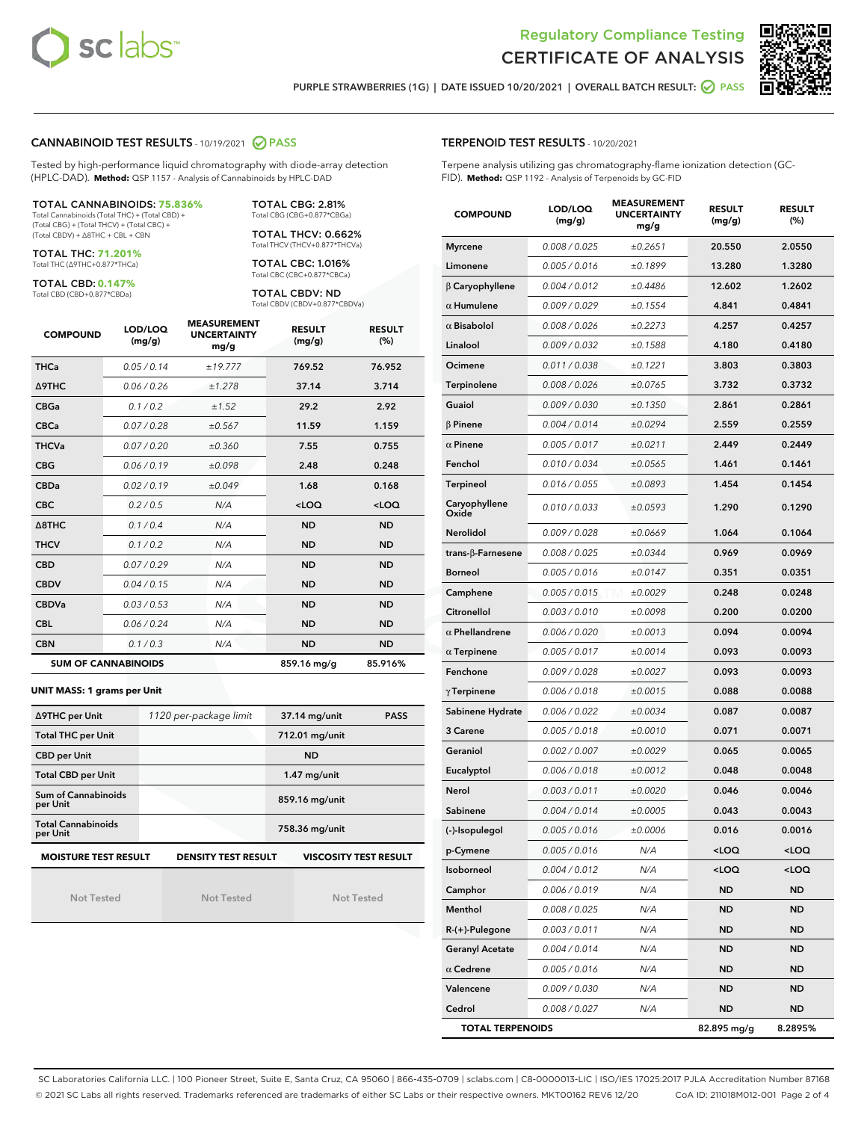



PURPLE STRAWBERRIES (1G) | DATE ISSUED 10/20/2021 | OVERALL BATCH RESULT:  $\bigcirc$  PASS

#### CANNABINOID TEST RESULTS - 10/19/2021 2 PASS

Tested by high-performance liquid chromatography with diode-array detection (HPLC-DAD). **Method:** QSP 1157 - Analysis of Cannabinoids by HPLC-DAD

#### TOTAL CANNABINOIDS: **75.836%**

Total Cannabinoids (Total THC) + (Total CBD) + (Total CBG) + (Total THCV) + (Total CBC) + (Total CBDV) + ∆8THC + CBL + CBN

TOTAL THC: **71.201%** Total THC (∆9THC+0.877\*THCa)

TOTAL CBD: **0.147%**

Total CBD (CBD+0.877\*CBDa)

TOTAL CBG: 2.81% Total CBG (CBG+0.877\*CBGa)

TOTAL THCV: 0.662% Total THCV (THCV+0.877\*THCVa)

TOTAL CBC: 1.016% Total CBC (CBC+0.877\*CBCa)

TOTAL CBDV: ND Total CBDV (CBDV+0.877\*CBDVa)

| <b>COMPOUND</b>  | LOD/LOQ<br>(mg/g)          | <b>MEASUREMENT</b><br><b>UNCERTAINTY</b><br>mg/g | <b>RESULT</b><br>(mg/g) | <b>RESULT</b><br>(%) |
|------------------|----------------------------|--------------------------------------------------|-------------------------|----------------------|
| <b>THCa</b>      | 0.05 / 0.14                | ±19.777                                          | 769.52                  | 76.952               |
| <b>A9THC</b>     | 0.06 / 0.26                | ±1.278                                           | 37.14                   | 3.714                |
| <b>CBGa</b>      | 0.1 / 0.2                  | ±1.52                                            | 29.2                    | 2.92                 |
| <b>CBCa</b>      | 0.07 / 0.28                | ±0.567                                           | 11.59                   | 1.159                |
| <b>THCVa</b>     | 0.07/0.20                  | ±0.360                                           | 7.55                    | 0.755                |
| <b>CBG</b>       | 0.06/0.19                  | ±0.098                                           | 2.48                    | 0.248                |
| <b>CBDa</b>      | 0.02/0.19                  | ±0.049                                           | 1.68                    | 0.168                |
| <b>CBC</b>       | 0.2 / 0.5                  | N/A                                              | $<$ LOQ                 | $<$ LOQ              |
| $\triangle$ 8THC | 0.1/0.4                    | N/A                                              | <b>ND</b>               | <b>ND</b>            |
| <b>THCV</b>      | 0.1 / 0.2                  | N/A                                              | <b>ND</b>               | <b>ND</b>            |
| <b>CBD</b>       | 0.07/0.29                  | N/A                                              | <b>ND</b>               | <b>ND</b>            |
| <b>CBDV</b>      | 0.04 / 0.15                | N/A                                              | <b>ND</b>               | <b>ND</b>            |
| <b>CBDVa</b>     | 0.03/0.53                  | N/A                                              | <b>ND</b>               | <b>ND</b>            |
| <b>CBL</b>       | 0.06 / 0.24                | N/A                                              | <b>ND</b>               | <b>ND</b>            |
| <b>CBN</b>       | 0.1/0.3                    | N/A                                              | <b>ND</b>               | <b>ND</b>            |
|                  | <b>SUM OF CANNABINOIDS</b> |                                                  | 859.16 mg/g             | 85.916%              |

#### **UNIT MASS: 1 grams per Unit**

| ∆9THC per Unit                                                                            | 1120 per-package limit | 37.14 mg/unit<br><b>PASS</b> |  |  |  |
|-------------------------------------------------------------------------------------------|------------------------|------------------------------|--|--|--|
| <b>Total THC per Unit</b>                                                                 |                        | 712.01 mg/unit               |  |  |  |
| <b>CBD per Unit</b>                                                                       |                        | <b>ND</b>                    |  |  |  |
| <b>Total CBD per Unit</b>                                                                 |                        | $1.47$ mg/unit               |  |  |  |
| Sum of Cannabinoids<br>per Unit                                                           |                        | 859.16 mg/unit               |  |  |  |
| <b>Total Cannabinoids</b><br>per Unit                                                     |                        | 758.36 mg/unit               |  |  |  |
| <b>MOISTURE TEST RESULT</b><br><b>DENSITY TEST RESULT</b><br><b>VISCOSITY TEST RESULT</b> |                        |                              |  |  |  |

Not Tested

Not Tested

Not Tested

#### TERPENOID TEST RESULTS - 10/20/2021

Terpene analysis utilizing gas chromatography-flame ionization detection (GC-FID). **Method:** QSP 1192 - Analysis of Terpenoids by GC-FID

| <b>COMPOUND</b>         | LOD/LOQ<br>(mg/g)    | <b>MEASUREMENT</b><br><b>UNCERTAINTY</b><br>mg/g | <b>RESULT</b><br>(mg/g)                         | <b>RESULT</b><br>(%) |
|-------------------------|----------------------|--------------------------------------------------|-------------------------------------------------|----------------------|
| <b>Myrcene</b>          | 0.008 / 0.025        | ±0.2651                                          | 20.550                                          | 2.0550               |
| Limonene                | 0.005 / 0.016        | ±0.1899                                          | 13.280                                          | 1.3280               |
| $\beta$ Caryophyllene   | 0.004 / 0.012        | ±0.4486                                          | 12.602                                          | 1.2602               |
| $\alpha$ Humulene       | 0.009 / 0.029        | ±0.1554                                          | 4.841                                           | 0.4841               |
| $\alpha$ Bisabolol      | 0.008 / 0.026        | ±0.2273                                          | 4.257                                           | 0.4257               |
| Linalool                | 0.009 / 0.032        | ±0.1588                                          | 4.180                                           | 0.4180               |
| Ocimene                 | 0.011 / 0.038        | ±0.1221                                          | 3.803                                           | 0.3803               |
| Terpinolene             | 0.008 / 0.026        | ±0.0765                                          | 3.732                                           | 0.3732               |
| Guaiol                  | <i>0.009 / 0.030</i> | ±0.1350                                          | 2.861                                           | 0.2861               |
| $\beta$ Pinene          | 0.004 / 0.014        | ±0.0294                                          | 2.559                                           | 0.2559               |
| $\alpha$ Pinene         | 0.005 / 0.017        | ±0.0211                                          | 2.449                                           | 0.2449               |
| Fenchol                 | 0.010 / 0.034        | ±0.0565                                          | 1.461                                           | 0.1461               |
| Terpineol               | 0.016 / 0.055        | ±0.0893                                          | 1.454                                           | 0.1454               |
| Caryophyllene<br>Oxide  | 0.010 / 0.033        | ±0.0593                                          | 1.290                                           | 0.1290               |
| Nerolidol               | 0.009 / 0.028        | ±0.0669                                          | 1.064                                           | 0.1064               |
| trans-β-Farnesene       | 0.008 / 0.025        | ±0.0344                                          | 0.969                                           | 0.0969               |
| <b>Borneol</b>          | 0.005 / 0.016        | ±0.0147                                          | 0.351                                           | 0.0351               |
| Camphene                | 0.005 / 0.015        | ±0.0029                                          | 0.248                                           | 0.0248               |
| Citronellol             | 0.003/0.010          | ±0.0098                                          | 0.200                                           | 0.0200               |
| $\alpha$ Phellandrene   | 0.006 / 0.020        | ±0.0013                                          | 0.094                                           | 0.0094               |
| $\alpha$ Terpinene      | 0.005 / 0.017        | ±0.0014                                          | 0.093                                           | 0.0093               |
| Fenchone                | 0.009 / 0.028        | ±0.0027                                          | 0.093                                           | 0.0093               |
| $\gamma$ Terpinene      | 0.006 / 0.018        | ±0.0015                                          | 0.088                                           | 0.0088               |
| Sabinene Hydrate        | 0.006 / 0.022        | ±0.0034                                          | 0.087                                           | 0.0087               |
| 3 Carene                | 0.005 / 0.018        | ±0.0010                                          | 0.071                                           | 0.0071               |
| Geraniol                | 0.002 / 0.007        | ±0.0029                                          | 0.065                                           | 0.0065               |
| Eucalyptol              | 0.006 / 0.018        | ±0.0012                                          | 0.048                                           | 0.0048               |
| Nerol                   | 0.003 / 0.011        | ±0.0020                                          | 0.046                                           | 0.0046               |
| Sabinene                | 0.004 / 0.014        | ±0.0005                                          | 0.043                                           | 0.0043               |
| (-)-Isopulegol          | 0.005 / 0.016        | ±0.0006                                          | 0.016                                           | 0.0016               |
| p-Cymene                | 0.005 / 0.016        | N/A                                              | <loq< th=""><th><loq< th=""></loq<></th></loq<> | <loq< th=""></loq<>  |
| Isoborneol              | 0.004 / 0.012        | N/A                                              | $<$ LOQ                                         | $<$ LOQ              |
| Camphor                 | 0.006 / 0.019        | N/A                                              | <b>ND</b>                                       | ND                   |
| Menthol                 | 0.008 / 0.025        | N/A                                              | ND                                              | ND                   |
| R-(+)-Pulegone          | 0.003 / 0.011        | N/A                                              | ND                                              | ND                   |
| <b>Geranyl Acetate</b>  | 0.004 / 0.014        | N/A                                              | <b>ND</b>                                       | ND                   |
| $\alpha$ Cedrene        | 0.005 / 0.016        | N/A                                              | ND                                              | ND                   |
| Valencene               | 0.009 / 0.030        | N/A                                              | ND                                              | <b>ND</b>            |
| Cedrol                  | 0.008 / 0.027        | N/A                                              | <b>ND</b>                                       | ND                   |
| <b>TOTAL TERPENOIDS</b> |                      |                                                  | 82.895 mg/g                                     | 8.2895%              |

SC Laboratories California LLC. | 100 Pioneer Street, Suite E, Santa Cruz, CA 95060 | 866-435-0709 | sclabs.com | C8-0000013-LIC | ISO/IES 17025:2017 PJLA Accreditation Number 87168 © 2021 SC Labs all rights reserved. Trademarks referenced are trademarks of either SC Labs or their respective owners. MKT00162 REV6 12/20 CoA ID: 211018M012-001 Page 2 of 4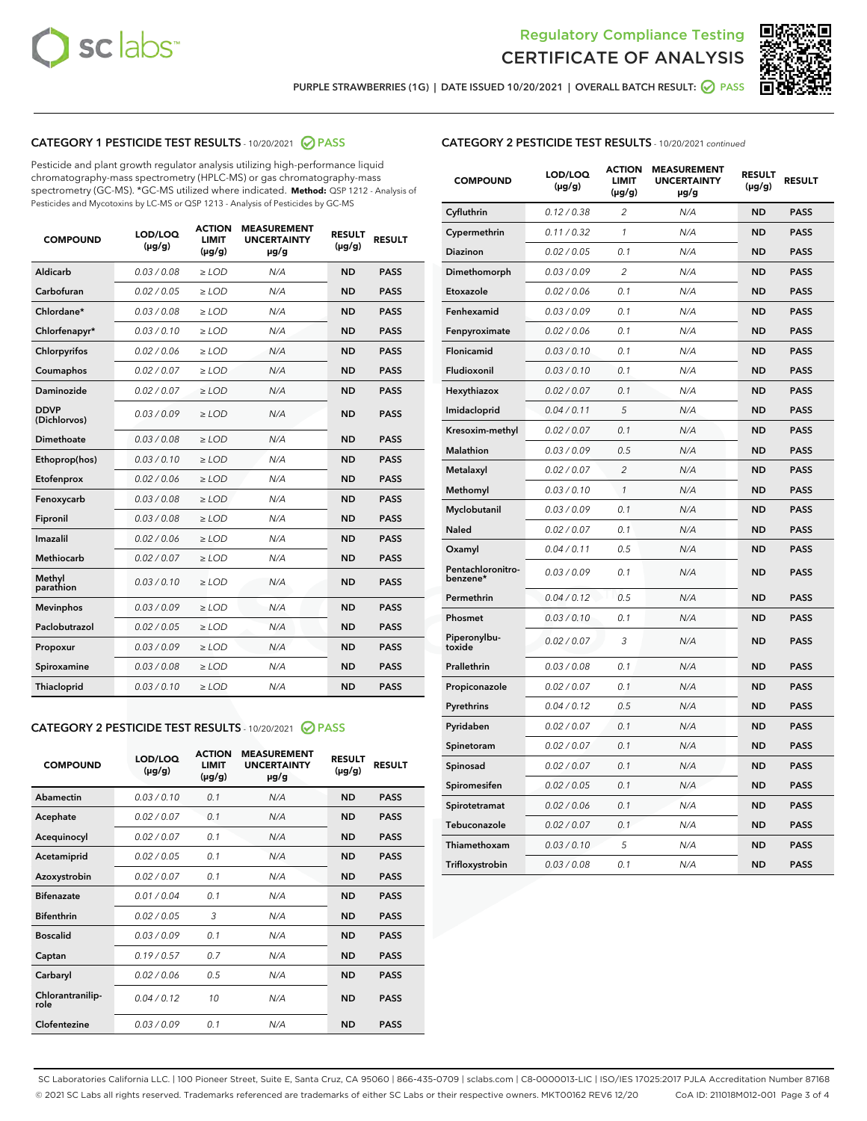



PURPLE STRAWBERRIES (1G) | DATE ISSUED 10/20/2021 | OVERALL BATCH RESULT: **⊘** PASS

#### CATEGORY 1 PESTICIDE TEST RESULTS - 10/20/2021 2 PASS

Pesticide and plant growth regulator analysis utilizing high-performance liquid chromatography-mass spectrometry (HPLC-MS) or gas chromatography-mass spectrometry (GC-MS). \*GC-MS utilized where indicated. **Method:** QSP 1212 - Analysis of Pesticides and Mycotoxins by LC-MS or QSP 1213 - Analysis of Pesticides by GC-MS

| <b>Aldicarb</b><br>0.03 / 0.08<br><b>ND</b><br>$\ge$ LOD<br>N/A<br><b>PASS</b><br>Carbofuran<br>0.02/0.05<br>$\ge$ LOD<br>N/A<br><b>ND</b><br><b>PASS</b><br>Chlordane*<br>0.03 / 0.08<br><b>ND</b><br>$>$ LOD<br>N/A<br><b>PASS</b><br>0.03/0.10<br><b>ND</b><br><b>PASS</b><br>Chlorfenapyr*<br>$\geq$ LOD<br>N/A<br>0.02 / 0.06<br>N/A<br><b>ND</b><br><b>PASS</b><br>Chlorpyrifos<br>$\geq$ LOD<br>0.02 / 0.07<br>N/A<br><b>ND</b><br><b>PASS</b><br>Coumaphos<br>$>$ LOD<br>Daminozide<br>0.02 / 0.07<br>$\ge$ LOD<br>N/A<br><b>ND</b><br><b>PASS</b><br><b>DDVP</b><br>0.03/0.09<br>$\ge$ LOD<br>N/A<br><b>ND</b><br><b>PASS</b><br>(Dichlorvos)<br>Dimethoate<br><b>ND</b><br><b>PASS</b><br>0.03/0.08<br>$>$ LOD<br>N/A<br>0.03/0.10<br>Ethoprop(hos)<br>$\ge$ LOD<br>N/A<br><b>ND</b><br><b>PASS</b><br>0.02/0.06<br>$\ge$ LOD<br>N/A<br><b>ND</b><br><b>PASS</b><br>Etofenprox<br>Fenoxycarb<br>0.03/0.08<br>$>$ LOD<br>N/A<br><b>ND</b><br><b>PASS</b><br>0.03/0.08<br><b>ND</b><br><b>PASS</b><br>Fipronil<br>$\ge$ LOD<br>N/A<br>Imazalil<br>0.02 / 0.06<br>$>$ LOD<br>N/A<br><b>ND</b><br><b>PASS</b><br>0.02 / 0.07<br>Methiocarb<br>N/A<br><b>ND</b><br>$>$ LOD<br><b>PASS</b><br>Methyl<br>0.03/0.10<br>$\ge$ LOD<br>N/A<br><b>ND</b><br><b>PASS</b><br>parathion<br>0.03/0.09<br>$\ge$ LOD<br>N/A<br><b>ND</b><br><b>PASS</b><br><b>Mevinphos</b><br>Paclobutrazol<br>0.02 / 0.05<br>$\ge$ LOD<br>N/A<br><b>ND</b><br><b>PASS</b><br>0.03/0.09<br>N/A<br>$\ge$ LOD<br><b>ND</b><br><b>PASS</b><br>Propoxur<br>0.03/0.08<br><b>ND</b><br><b>PASS</b><br>Spiroxamine<br>$\ge$ LOD<br>N/A<br><b>PASS</b><br>Thiacloprid<br>0.03/0.10<br>$\ge$ LOD<br>N/A<br><b>ND</b> | <b>COMPOUND</b> | LOD/LOQ<br>$(\mu g/g)$ | <b>ACTION</b><br>LIMIT<br>$(\mu g/g)$ | <b>MEASUREMENT</b><br><b>UNCERTAINTY</b><br>$\mu$ g/g | <b>RESULT</b><br>$(\mu g/g)$ | <b>RESULT</b> |
|--------------------------------------------------------------------------------------------------------------------------------------------------------------------------------------------------------------------------------------------------------------------------------------------------------------------------------------------------------------------------------------------------------------------------------------------------------------------------------------------------------------------------------------------------------------------------------------------------------------------------------------------------------------------------------------------------------------------------------------------------------------------------------------------------------------------------------------------------------------------------------------------------------------------------------------------------------------------------------------------------------------------------------------------------------------------------------------------------------------------------------------------------------------------------------------------------------------------------------------------------------------------------------------------------------------------------------------------------------------------------------------------------------------------------------------------------------------------------------------------------------------------------------------------------------------------------------------------------------------------------------------------------------------------------------------|-----------------|------------------------|---------------------------------------|-------------------------------------------------------|------------------------------|---------------|
|                                                                                                                                                                                                                                                                                                                                                                                                                                                                                                                                                                                                                                                                                                                                                                                                                                                                                                                                                                                                                                                                                                                                                                                                                                                                                                                                                                                                                                                                                                                                                                                                                                                                                      |                 |                        |                                       |                                                       |                              |               |
|                                                                                                                                                                                                                                                                                                                                                                                                                                                                                                                                                                                                                                                                                                                                                                                                                                                                                                                                                                                                                                                                                                                                                                                                                                                                                                                                                                                                                                                                                                                                                                                                                                                                                      |                 |                        |                                       |                                                       |                              |               |
|                                                                                                                                                                                                                                                                                                                                                                                                                                                                                                                                                                                                                                                                                                                                                                                                                                                                                                                                                                                                                                                                                                                                                                                                                                                                                                                                                                                                                                                                                                                                                                                                                                                                                      |                 |                        |                                       |                                                       |                              |               |
|                                                                                                                                                                                                                                                                                                                                                                                                                                                                                                                                                                                                                                                                                                                                                                                                                                                                                                                                                                                                                                                                                                                                                                                                                                                                                                                                                                                                                                                                                                                                                                                                                                                                                      |                 |                        |                                       |                                                       |                              |               |
|                                                                                                                                                                                                                                                                                                                                                                                                                                                                                                                                                                                                                                                                                                                                                                                                                                                                                                                                                                                                                                                                                                                                                                                                                                                                                                                                                                                                                                                                                                                                                                                                                                                                                      |                 |                        |                                       |                                                       |                              |               |
|                                                                                                                                                                                                                                                                                                                                                                                                                                                                                                                                                                                                                                                                                                                                                                                                                                                                                                                                                                                                                                                                                                                                                                                                                                                                                                                                                                                                                                                                                                                                                                                                                                                                                      |                 |                        |                                       |                                                       |                              |               |
|                                                                                                                                                                                                                                                                                                                                                                                                                                                                                                                                                                                                                                                                                                                                                                                                                                                                                                                                                                                                                                                                                                                                                                                                                                                                                                                                                                                                                                                                                                                                                                                                                                                                                      |                 |                        |                                       |                                                       |                              |               |
|                                                                                                                                                                                                                                                                                                                                                                                                                                                                                                                                                                                                                                                                                                                                                                                                                                                                                                                                                                                                                                                                                                                                                                                                                                                                                                                                                                                                                                                                                                                                                                                                                                                                                      |                 |                        |                                       |                                                       |                              |               |
|                                                                                                                                                                                                                                                                                                                                                                                                                                                                                                                                                                                                                                                                                                                                                                                                                                                                                                                                                                                                                                                                                                                                                                                                                                                                                                                                                                                                                                                                                                                                                                                                                                                                                      |                 |                        |                                       |                                                       |                              |               |
|                                                                                                                                                                                                                                                                                                                                                                                                                                                                                                                                                                                                                                                                                                                                                                                                                                                                                                                                                                                                                                                                                                                                                                                                                                                                                                                                                                                                                                                                                                                                                                                                                                                                                      |                 |                        |                                       |                                                       |                              |               |
|                                                                                                                                                                                                                                                                                                                                                                                                                                                                                                                                                                                                                                                                                                                                                                                                                                                                                                                                                                                                                                                                                                                                                                                                                                                                                                                                                                                                                                                                                                                                                                                                                                                                                      |                 |                        |                                       |                                                       |                              |               |
|                                                                                                                                                                                                                                                                                                                                                                                                                                                                                                                                                                                                                                                                                                                                                                                                                                                                                                                                                                                                                                                                                                                                                                                                                                                                                                                                                                                                                                                                                                                                                                                                                                                                                      |                 |                        |                                       |                                                       |                              |               |
|                                                                                                                                                                                                                                                                                                                                                                                                                                                                                                                                                                                                                                                                                                                                                                                                                                                                                                                                                                                                                                                                                                                                                                                                                                                                                                                                                                                                                                                                                                                                                                                                                                                                                      |                 |                        |                                       |                                                       |                              |               |
|                                                                                                                                                                                                                                                                                                                                                                                                                                                                                                                                                                                                                                                                                                                                                                                                                                                                                                                                                                                                                                                                                                                                                                                                                                                                                                                                                                                                                                                                                                                                                                                                                                                                                      |                 |                        |                                       |                                                       |                              |               |
|                                                                                                                                                                                                                                                                                                                                                                                                                                                                                                                                                                                                                                                                                                                                                                                                                                                                                                                                                                                                                                                                                                                                                                                                                                                                                                                                                                                                                                                                                                                                                                                                                                                                                      |                 |                        |                                       |                                                       |                              |               |
|                                                                                                                                                                                                                                                                                                                                                                                                                                                                                                                                                                                                                                                                                                                                                                                                                                                                                                                                                                                                                                                                                                                                                                                                                                                                                                                                                                                                                                                                                                                                                                                                                                                                                      |                 |                        |                                       |                                                       |                              |               |
|                                                                                                                                                                                                                                                                                                                                                                                                                                                                                                                                                                                                                                                                                                                                                                                                                                                                                                                                                                                                                                                                                                                                                                                                                                                                                                                                                                                                                                                                                                                                                                                                                                                                                      |                 |                        |                                       |                                                       |                              |               |
|                                                                                                                                                                                                                                                                                                                                                                                                                                                                                                                                                                                                                                                                                                                                                                                                                                                                                                                                                                                                                                                                                                                                                                                                                                                                                                                                                                                                                                                                                                                                                                                                                                                                                      |                 |                        |                                       |                                                       |                              |               |
|                                                                                                                                                                                                                                                                                                                                                                                                                                                                                                                                                                                                                                                                                                                                                                                                                                                                                                                                                                                                                                                                                                                                                                                                                                                                                                                                                                                                                                                                                                                                                                                                                                                                                      |                 |                        |                                       |                                                       |                              |               |
|                                                                                                                                                                                                                                                                                                                                                                                                                                                                                                                                                                                                                                                                                                                                                                                                                                                                                                                                                                                                                                                                                                                                                                                                                                                                                                                                                                                                                                                                                                                                                                                                                                                                                      |                 |                        |                                       |                                                       |                              |               |
|                                                                                                                                                                                                                                                                                                                                                                                                                                                                                                                                                                                                                                                                                                                                                                                                                                                                                                                                                                                                                                                                                                                                                                                                                                                                                                                                                                                                                                                                                                                                                                                                                                                                                      |                 |                        |                                       |                                                       |                              |               |

#### CATEGORY 2 PESTICIDE TEST RESULTS - 10/20/2021 @ PASS

| <b>COMPOUND</b>          | LOD/LOO<br>$(\mu g/g)$ | <b>ACTION</b><br>LIMIT<br>$(\mu g/g)$ | <b>MEASUREMENT</b><br><b>UNCERTAINTY</b><br>µg/g | <b>RESULT</b><br>$(\mu g/g)$ | <b>RESULT</b> |  |
|--------------------------|------------------------|---------------------------------------|--------------------------------------------------|------------------------------|---------------|--|
| Abamectin                | 0.03/0.10              | 0.1                                   | N/A                                              | <b>ND</b>                    | <b>PASS</b>   |  |
| Acephate                 | 0.02/0.07              | 0.1                                   | N/A                                              | <b>ND</b>                    | <b>PASS</b>   |  |
| Acequinocyl              | 0.02/0.07              | 0.1                                   | N/A                                              | <b>ND</b>                    | <b>PASS</b>   |  |
| Acetamiprid              | 0.02 / 0.05            | 0.1                                   | N/A                                              | <b>ND</b>                    | <b>PASS</b>   |  |
| Azoxystrobin             | 0.02/0.07              | 0.1                                   | N/A                                              | <b>ND</b>                    | <b>PASS</b>   |  |
| <b>Bifenazate</b>        | 0.01 / 0.04            | 0.1                                   | N/A                                              | <b>ND</b>                    | <b>PASS</b>   |  |
| <b>Bifenthrin</b>        | 0.02 / 0.05            | 3                                     | N/A                                              | <b>ND</b>                    | <b>PASS</b>   |  |
| <b>Boscalid</b>          | 0.03/0.09              | 0.1                                   | N/A                                              | <b>ND</b>                    | <b>PASS</b>   |  |
| Captan                   | 0.19/0.57              | 0.7                                   | N/A                                              | <b>ND</b>                    | <b>PASS</b>   |  |
| Carbaryl                 | 0.02/0.06              | 0.5                                   | N/A                                              | <b>ND</b>                    | <b>PASS</b>   |  |
| Chlorantranilip-<br>role | 0.04/0.12              | 10                                    | N/A                                              | <b>ND</b>                    | <b>PASS</b>   |  |
| Clofentezine             | 0.03/0.09              | 0.1                                   | N/A                                              | <b>ND</b>                    | <b>PASS</b>   |  |

| <b>CATEGORY 2 PESTICIDE TEST RESULTS</b> - 10/20/2021 continued |  |
|-----------------------------------------------------------------|--|
|                                                                 |  |

| <b>COMPOUND</b>               | LOD/LOQ<br>(µg/g) | <b>ACTION</b><br><b>LIMIT</b><br>$(\mu g/g)$ | <b>MEASUREMENT</b><br><b>UNCERTAINTY</b><br>µg/g | <b>RESULT</b><br>(µg/g) | <b>RESULT</b> |
|-------------------------------|-------------------|----------------------------------------------|--------------------------------------------------|-------------------------|---------------|
| Cyfluthrin                    | 0.12 / 0.38       | 2                                            | N/A                                              | ND                      | <b>PASS</b>   |
| Cypermethrin                  | 0.11 / 0.32       | 1                                            | N/A                                              | ND                      | <b>PASS</b>   |
| Diazinon                      | 0.02 / 0.05       | 0.1                                          | N/A                                              | <b>ND</b>               | <b>PASS</b>   |
| Dimethomorph                  | 0.03 / 0.09       | 2                                            | N/A                                              | ND                      | PASS          |
| Etoxazole                     | 0.02 / 0.06       | 0.1                                          | N/A                                              | <b>ND</b>               | <b>PASS</b>   |
| Fenhexamid                    | 0.03 / 0.09       | 0.1                                          | N/A                                              | <b>ND</b>               | <b>PASS</b>   |
| Fenpyroximate                 | 0.02 / 0.06       | 0.1                                          | N/A                                              | ND                      | <b>PASS</b>   |
| Flonicamid                    | 0.03 / 0.10       | 0.1                                          | N/A                                              | <b>ND</b>               | <b>PASS</b>   |
| Fludioxonil                   | 0.03 / 0.10       | 0.1                                          | N/A                                              | <b>ND</b>               | <b>PASS</b>   |
| Hexythiazox                   | 0.02 / 0.07       | 0.1                                          | N/A                                              | <b>ND</b>               | <b>PASS</b>   |
| Imidacloprid                  | 0.04 / 0.11       | 5                                            | N/A                                              | <b>ND</b>               | <b>PASS</b>   |
| Kresoxim-methyl               | 0.02 / 0.07       | 0.1                                          | N/A                                              | ND                      | <b>PASS</b>   |
| Malathion                     | 0.03 / 0.09       | 0.5                                          | N/A                                              | ND                      | <b>PASS</b>   |
| Metalaxyl                     | 0.02 / 0.07       | $\overline{2}$                               | N/A                                              | <b>ND</b>               | <b>PASS</b>   |
| Methomyl                      | 0.03 / 0.10       | 1                                            | N/A                                              | ND                      | <b>PASS</b>   |
| Myclobutanil                  | 0.03 / 0.09       | 0.1                                          | N/A                                              | ND                      | <b>PASS</b>   |
| Naled                         | 0.02 / 0.07       | 0.1                                          | N/A                                              | <b>ND</b>               | <b>PASS</b>   |
| Oxamyl                        | 0.04 / 0.11       | 0.5                                          | N/A                                              | ND                      | <b>PASS</b>   |
| Pentachloronitro-<br>benzene* | 0.03/0.09         | 0.1                                          | N/A                                              | ND                      | <b>PASS</b>   |
| Permethrin                    | 0.04/0.12         | 0.5                                          | N/A                                              | ND                      | <b>PASS</b>   |
| Phosmet                       | 0.03 / 0.10       | 0.1                                          | N/A                                              | <b>ND</b>               | <b>PASS</b>   |
| Piperonylbu-<br>toxide        | 0.02 / 0.07       | 3                                            | N/A                                              | <b>ND</b>               | <b>PASS</b>   |
| Prallethrin                   | 0.03 / 0.08       | 0.1                                          | N/A                                              | ND                      | <b>PASS</b>   |
| Propiconazole                 | 0.02 / 0.07       | 0.1                                          | N/A                                              | <b>ND</b>               | <b>PASS</b>   |
| Pyrethrins                    | 0.04 / 0.12       | 0.5                                          | N/A                                              | ND                      | PASS          |
| Pyridaben                     | 0.02 / 0.07       | 0.1                                          | N/A                                              | <b>ND</b>               | <b>PASS</b>   |
| Spinetoram                    | 0.02 / 0.07       | 0.1                                          | N/A                                              | ND                      | PASS          |
| Spinosad                      | 0.02 / 0.07       | 0.1                                          | N/A                                              | ND                      | PASS          |
| Spiromesifen                  | 0.02 / 0.05       | 0.1                                          | N/A                                              | ND                      | <b>PASS</b>   |
| Spirotetramat                 | 0.02 / 0.06       | 0.1                                          | N/A                                              | ND                      | PASS          |
| Tebuconazole                  | 0.02 / 0.07       | 0.1                                          | N/A                                              | ND                      | <b>PASS</b>   |
| Thiamethoxam                  | 0.03 / 0.10       | 5                                            | N/A                                              | ND                      | <b>PASS</b>   |
| Trifloxystrobin               | 0.03 / 0.08       | 0.1                                          | N/A                                              | <b>ND</b>               | <b>PASS</b>   |

SC Laboratories California LLC. | 100 Pioneer Street, Suite E, Santa Cruz, CA 95060 | 866-435-0709 | sclabs.com | C8-0000013-LIC | ISO/IES 17025:2017 PJLA Accreditation Number 87168 © 2021 SC Labs all rights reserved. Trademarks referenced are trademarks of either SC Labs or their respective owners. MKT00162 REV6 12/20 CoA ID: 211018M012-001 Page 3 of 4